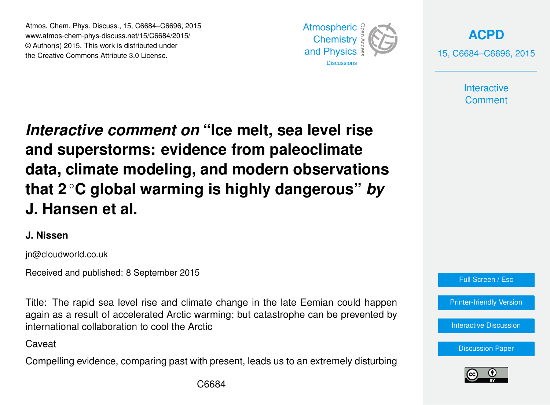Atmos. Chem. Phys. Discuss., 15, C6684–C6696, 2015 www.atmos-chem-phys-discuss.net/15/C6684/2015/ © Author(s) 2015. This work is distributed under the Creative Commons Attribute 3.0 License.



**[ACPD](http://www.atmos-chem-phys-discuss.net)** 15, C6684–C6696, 2015

> **Interactive Comment**

*Interactive comment on* **"Ice melt, sea level rise and superstorms: evidence from paleoclimate data, climate modeling, and modern observations that 2** ◦**C global warming is highly dangerous"** *by* **J. Hansen et al.**

### **J. Nissen**

jn@cloudworld.co.uk

Received and published: 8 September 2015

Title: The rapid sea level rise and climate change in the late Eemian could happen again as a result of accelerated Arctic warming; but catastrophe can be prevented by international collaboration to cool the Arctic

Caveat

Compelling evidence, comparing past with present, leads us to an extremely disturbing



[Printer-friendly Version](http://www.atmos-chem-phys-discuss.net/15/C6684/2015/acpd-15-C6684-2015-print.pdf)

[Interactive Discussion](http://www.atmos-chem-phys-discuss.net/15/20059/2015/acpd-15-20059-2015-discussion.html)



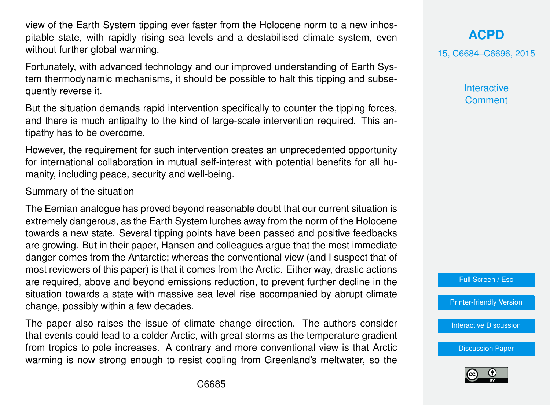view of the Earth System tipping ever faster from the Holocene norm to a new inhospitable state, with rapidly rising sea levels and a destabilised climate system, even without further global warming.

Fortunately, with advanced technology and our improved understanding of Earth System thermodynamic mechanisms, it should be possible to halt this tipping and subsequently reverse it.

But the situation demands rapid intervention specifically to counter the tipping forces, and there is much antipathy to the kind of large-scale intervention required. This antipathy has to be overcome.

However, the requirement for such intervention creates an unprecedented opportunity for international collaboration in mutual self-interest with potential benefits for all humanity, including peace, security and well-being.

Summary of the situation

The Eemian analogue has proved beyond reasonable doubt that our current situation is extremely dangerous, as the Earth System lurches away from the norm of the Holocene towards a new state. Several tipping points have been passed and positive feedbacks are growing. But in their paper, Hansen and colleagues argue that the most immediate danger comes from the Antarctic; whereas the conventional view (and I suspect that of most reviewers of this paper) is that it comes from the Arctic. Either way, drastic actions are required, above and beyond emissions reduction, to prevent further decline in the situation towards a state with massive sea level rise accompanied by abrupt climate change, possibly within a few decades.

The paper also raises the issue of climate change direction. The authors consider that events could lead to a colder Arctic, with great storms as the temperature gradient from tropics to pole increases. A contrary and more conventional view is that Arctic warming is now strong enough to resist cooling from Greenland's meltwater, so the

**[ACPD](http://www.atmos-chem-phys-discuss.net)**

15, C6684–C6696, 2015

**Interactive Comment** 



[Printer-friendly Version](http://www.atmos-chem-phys-discuss.net/15/C6684/2015/acpd-15-C6684-2015-print.pdf)

[Interactive Discussion](http://www.atmos-chem-phys-discuss.net/15/20059/2015/acpd-15-20059-2015-discussion.html)

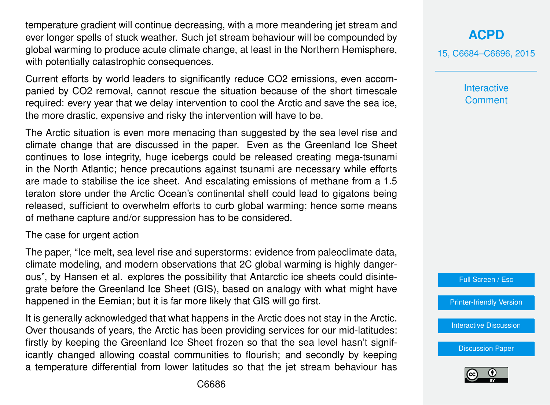temperature gradient will continue decreasing, with a more meandering jet stream and ever longer spells of stuck weather. Such jet stream behaviour will be compounded by global warming to produce acute climate change, at least in the Northern Hemisphere, with potentially catastrophic consequences.

Current efforts by world leaders to significantly reduce CO2 emissions, even accompanied by CO2 removal, cannot rescue the situation because of the short timescale required: every year that we delay intervention to cool the Arctic and save the sea ice, the more drastic, expensive and risky the intervention will have to be.

The Arctic situation is even more menacing than suggested by the sea level rise and climate change that are discussed in the paper. Even as the Greenland Ice Sheet continues to lose integrity, huge icebergs could be released creating mega-tsunami in the North Atlantic; hence precautions against tsunami are necessary while efforts are made to stabilise the ice sheet. And escalating emissions of methane from a 1.5 teraton store under the Arctic Ocean's continental shelf could lead to gigatons being released, sufficient to overwhelm efforts to curb global warming; hence some means of methane capture and/or suppression has to be considered.

#### The case for urgent action

The paper, "Ice melt, sea level rise and superstorms: evidence from paleoclimate data, climate modeling, and modern observations that 2C global warming is highly dangerous", by Hansen et al. explores the possibility that Antarctic ice sheets could disintegrate before the Greenland Ice Sheet (GIS), based on analogy with what might have happened in the Eemian; but it is far more likely that GIS will go first.

It is generally acknowledged that what happens in the Arctic does not stay in the Arctic. Over thousands of years, the Arctic has been providing services for our mid-latitudes: firstly by keeping the Greenland Ice Sheet frozen so that the sea level hasn't significantly changed allowing coastal communities to flourish; and secondly by keeping a temperature differential from lower latitudes so that the jet stream behaviour has 15, C6684–C6696, 2015

**Interactive Comment** 



[Printer-friendly Version](http://www.atmos-chem-phys-discuss.net/15/C6684/2015/acpd-15-C6684-2015-print.pdf)

[Interactive Discussion](http://www.atmos-chem-phys-discuss.net/15/20059/2015/acpd-15-20059-2015-discussion.html)

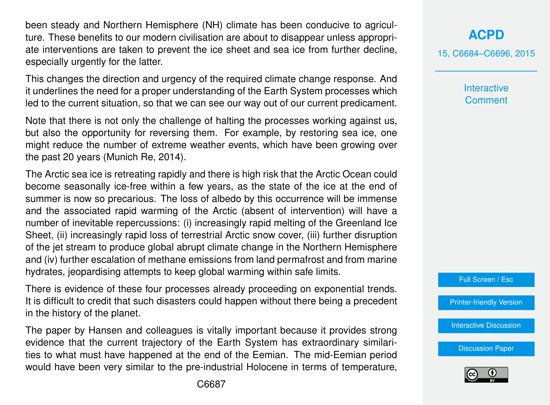been steady and Northern Hemisphere (NH) climate has been conducive to agriculture. These benefits to our modern civilisation are about to disappear unless appropriate interventions are taken to prevent the ice sheet and sea ice from further decline, especially urgently for the latter.

This changes the direction and urgency of the required climate change response. And it underlines the need for a proper understanding of the Earth System processes which led to the current situation, so that we can see our way out of our current predicament.

Note that there is not only the challenge of halting the processes working against us, but also the opportunity for reversing them. For example, by restoring sea ice, one might reduce the number of extreme weather events, which have been growing over the past 20 years (Munich Re, 2014).

The Arctic sea ice is retreating rapidly and there is high risk that the Arctic Ocean could become seasonally ice-free within a few years, as the state of the ice at the end of summer is now so precarious. The loss of albedo by this occurrence will be immense and the associated rapid warming of the Arctic (absent of intervention) will have a number of inevitable repercussions: (i) increasingly rapid melting of the Greenland Ice Sheet, (ii) increasingly rapid loss of terrestrial Arctic snow cover, (iii) further disruption of the jet stream to produce global abrupt climate change in the Northern Hemisphere and (iv) further escalation of methane emissions from land permafrost and from marine hydrates, jeopardising attempts to keep global warming within safe limits.

There is evidence of these four processes already proceeding on exponential trends. It is difficult to credit that such disasters could happen without there being a precedent in the history of the planet.

The paper by Hansen and colleagues is vitally important because it provides strong evidence that the current trajectory of the Earth System has extraordinary similarities to what must have happened at the end of the Eemian. The mid-Eemian period would have been very similar to the pre-industrial Holocene in terms of temperature, **[ACPD](http://www.atmos-chem-phys-discuss.net)**

15, C6684–C6696, 2015

**Interactive Comment** 

Full Screen / Esc

[Printer-friendly Version](http://www.atmos-chem-phys-discuss.net/15/C6684/2015/acpd-15-C6684-2015-print.pdf)

[Interactive Discussion](http://www.atmos-chem-phys-discuss.net/15/20059/2015/acpd-15-20059-2015-discussion.html)

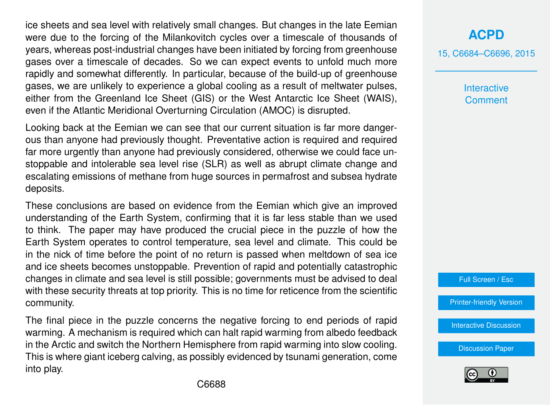ice sheets and sea level with relatively small changes. But changes in the late Eemian were due to the forcing of the Milankovitch cycles over a timescale of thousands of years, whereas post-industrial changes have been initiated by forcing from greenhouse gases over a timescale of decades. So we can expect events to unfold much more rapidly and somewhat differently. In particular, because of the build-up of greenhouse gases, we are unlikely to experience a global cooling as a result of meltwater pulses, either from the Greenland Ice Sheet (GIS) or the West Antarctic Ice Sheet (WAIS), even if the Atlantic Meridional Overturning Circulation (AMOC) is disrupted.

Looking back at the Eemian we can see that our current situation is far more dangerous than anyone had previously thought. Preventative action is required and required far more urgently than anyone had previously considered, otherwise we could face unstoppable and intolerable sea level rise (SLR) as well as abrupt climate change and escalating emissions of methane from huge sources in permafrost and subsea hydrate deposits.

These conclusions are based on evidence from the Eemian which give an improved understanding of the Earth System, confirming that it is far less stable than we used to think. The paper may have produced the crucial piece in the puzzle of how the Earth System operates to control temperature, sea level and climate. This could be in the nick of time before the point of no return is passed when meltdown of sea ice and ice sheets becomes unstoppable. Prevention of rapid and potentially catastrophic changes in climate and sea level is still possible; governments must be advised to deal with these security threats at top priority. This is no time for reticence from the scientific community.

The final piece in the puzzle concerns the negative forcing to end periods of rapid warming. A mechanism is required which can halt rapid warming from albedo feedback in the Arctic and switch the Northern Hemisphere from rapid warming into slow cooling. This is where giant iceberg calving, as possibly evidenced by tsunami generation, come into play.

# **[ACPD](http://www.atmos-chem-phys-discuss.net)**

15, C6684–C6696, 2015

**Interactive Comment** 

Full Screen / Esc

[Printer-friendly Version](http://www.atmos-chem-phys-discuss.net/15/C6684/2015/acpd-15-C6684-2015-print.pdf)

[Interactive Discussion](http://www.atmos-chem-phys-discuss.net/15/20059/2015/acpd-15-20059-2015-discussion.html)

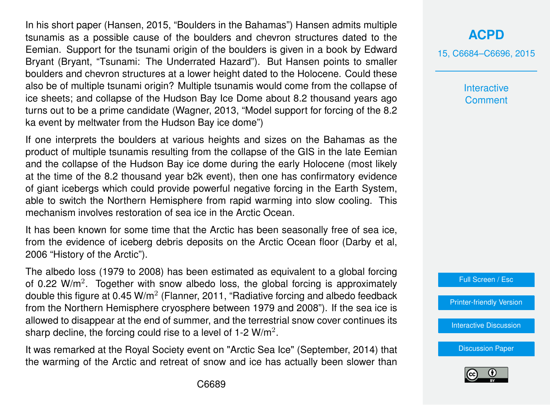In his short paper (Hansen, 2015, "Boulders in the Bahamas") Hansen admits multiple tsunamis as a possible cause of the boulders and chevron structures dated to the Eemian. Support for the tsunami origin of the boulders is given in a book by Edward Bryant (Bryant, "Tsunami: The Underrated Hazard"). But Hansen points to smaller boulders and chevron structures at a lower height dated to the Holocene. Could these also be of multiple tsunami origin? Multiple tsunamis would come from the collapse of ice sheets; and collapse of the Hudson Bay Ice Dome about 8.2 thousand years ago turns out to be a prime candidate (Wagner, 2013, "Model support for forcing of the 8.2 ka event by meltwater from the Hudson Bay ice dome")

If one interprets the boulders at various heights and sizes on the Bahamas as the product of multiple tsunamis resulting from the collapse of the GIS in the late Eemian and the collapse of the Hudson Bay ice dome during the early Holocene (most likely at the time of the 8.2 thousand year b2k event), then one has confirmatory evidence of giant icebergs which could provide powerful negative forcing in the Earth System, able to switch the Northern Hemisphere from rapid warming into slow cooling. This mechanism involves restoration of sea ice in the Arctic Ocean.

It has been known for some time that the Arctic has been seasonally free of sea ice, from the evidence of iceberg debris deposits on the Arctic Ocean floor (Darby et al, 2006 "History of the Arctic").

The albedo loss (1979 to 2008) has been estimated as equivalent to a global forcing of 0.22  $W/m^2$ . Together with snow albedo loss, the global forcing is approximately double this figure at 0.45 W/m<sup>2</sup> (Flanner, 2011, "Radiative forcing and albedo feedback from the Northern Hemisphere cryosphere between 1979 and 2008"). If the sea ice is allowed to disappear at the end of summer, and the terrestrial snow cover continues its sharp decline, the forcing could rise to a level of 1-2  $W/m^2$ .

It was remarked at the Royal Society event on "Arctic Sea Ice" (September, 2014) that the warming of the Arctic and retreat of snow and ice has actually been slower than

# **[ACPD](http://www.atmos-chem-phys-discuss.net)**

15, C6684–C6696, 2015

**Interactive Comment** 



[Printer-friendly Version](http://www.atmos-chem-phys-discuss.net/15/C6684/2015/acpd-15-C6684-2015-print.pdf)

[Interactive Discussion](http://www.atmos-chem-phys-discuss.net/15/20059/2015/acpd-15-20059-2015-discussion.html)

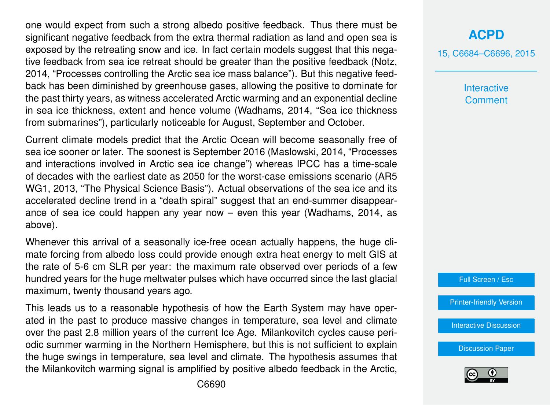one would expect from such a strong albedo positive feedback. Thus there must be significant negative feedback from the extra thermal radiation as land and open sea is exposed by the retreating snow and ice. In fact certain models suggest that this negative feedback from sea ice retreat should be greater than the positive feedback (Notz, 2014, "Processes controlling the Arctic sea ice mass balance"). But this negative feedback has been diminished by greenhouse gases, allowing the positive to dominate for the past thirty years, as witness accelerated Arctic warming and an exponential decline in sea ice thickness, extent and hence volume (Wadhams, 2014, "Sea ice thickness from submarines"), particularly noticeable for August, September and October.

Current climate models predict that the Arctic Ocean will become seasonally free of sea ice sooner or later. The soonest is September 2016 (Maslowski, 2014, "Processes and interactions involved in Arctic sea ice change") whereas IPCC has a time-scale of decades with the earliest date as 2050 for the worst-case emissions scenario (AR5 WG1, 2013, "The Physical Science Basis"). Actual observations of the sea ice and its accelerated decline trend in a "death spiral" suggest that an end-summer disappearance of sea ice could happen any year now – even this year (Wadhams, 2014, as above).

Whenever this arrival of a seasonally ice-free ocean actually happens, the huge climate forcing from albedo loss could provide enough extra heat energy to melt GIS at the rate of 5-6 cm SLR per year: the maximum rate observed over periods of a few hundred years for the huge meltwater pulses which have occurred since the last glacial maximum, twenty thousand years ago.

This leads us to a reasonable hypothesis of how the Earth System may have operated in the past to produce massive changes in temperature, sea level and climate over the past 2.8 million years of the current Ice Age. Milankovitch cycles cause periodic summer warming in the Northern Hemisphere, but this is not sufficient to explain the huge swings in temperature, sea level and climate. The hypothesis assumes that the Milankovitch warming signal is amplified by positive albedo feedback in the Arctic, 15, C6684–C6696, 2015

**Interactive Comment** 

Full Screen / Esc

[Printer-friendly Version](http://www.atmos-chem-phys-discuss.net/15/C6684/2015/acpd-15-C6684-2015-print.pdf)

[Interactive Discussion](http://www.atmos-chem-phys-discuss.net/15/20059/2015/acpd-15-20059-2015-discussion.html)

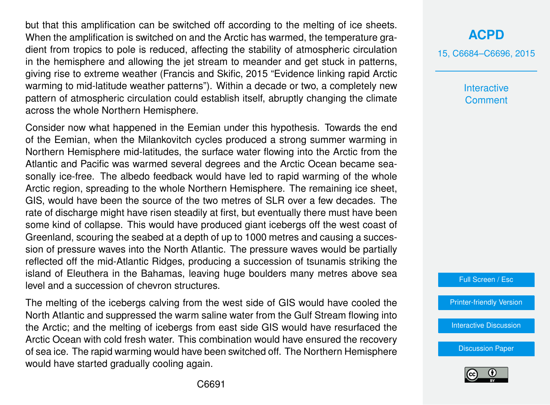but that this amplification can be switched off according to the melting of ice sheets. When the amplification is switched on and the Arctic has warmed, the temperature gradient from tropics to pole is reduced, affecting the stability of atmospheric circulation in the hemisphere and allowing the jet stream to meander and get stuck in patterns, giving rise to extreme weather (Francis and Skific, 2015 "Evidence linking rapid Arctic warming to mid-latitude weather patterns"). Within a decade or two, a completely new pattern of atmospheric circulation could establish itself, abruptly changing the climate across the whole Northern Hemisphere.

Consider now what happened in the Eemian under this hypothesis. Towards the end of the Eemian, when the Milankovitch cycles produced a strong summer warming in Northern Hemisphere mid-latitudes, the surface water flowing into the Arctic from the Atlantic and Pacific was warmed several degrees and the Arctic Ocean became seasonally ice-free. The albedo feedback would have led to rapid warming of the whole Arctic region, spreading to the whole Northern Hemisphere. The remaining ice sheet, GIS, would have been the source of the two metres of SLR over a few decades. The rate of discharge might have risen steadily at first, but eventually there must have been some kind of collapse. This would have produced giant icebergs off the west coast of Greenland, scouring the seabed at a depth of up to 1000 metres and causing a succession of pressure waves into the North Atlantic. The pressure waves would be partially reflected off the mid-Atlantic Ridges, producing a succession of tsunamis striking the island of Eleuthera in the Bahamas, leaving huge boulders many metres above sea level and a succession of chevron structures.

The melting of the icebergs calving from the west side of GIS would have cooled the North Atlantic and suppressed the warm saline water from the Gulf Stream flowing into the Arctic; and the melting of icebergs from east side GIS would have resurfaced the Arctic Ocean with cold fresh water. This combination would have ensured the recovery of sea ice. The rapid warming would have been switched off. The Northern Hemisphere would have started gradually cooling again.

# **[ACPD](http://www.atmos-chem-phys-discuss.net)**

15, C6684–C6696, 2015

**Interactive Comment** 



[Printer-friendly Version](http://www.atmos-chem-phys-discuss.net/15/C6684/2015/acpd-15-C6684-2015-print.pdf)

[Interactive Discussion](http://www.atmos-chem-phys-discuss.net/15/20059/2015/acpd-15-20059-2015-discussion.html)

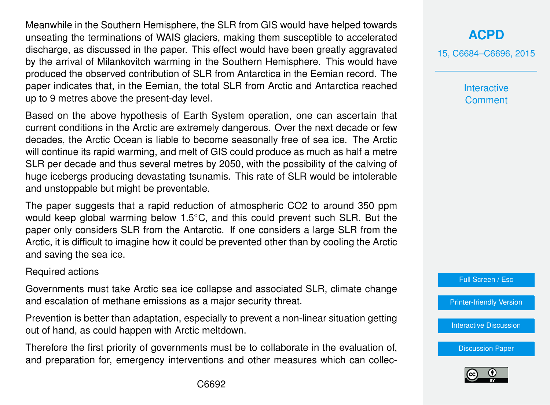Meanwhile in the Southern Hemisphere, the SLR from GIS would have helped towards unseating the terminations of WAIS glaciers, making them susceptible to accelerated discharge, as discussed in the paper. This effect would have been greatly aggravated by the arrival of Milankovitch warming in the Southern Hemisphere. This would have produced the observed contribution of SLR from Antarctica in the Eemian record. The paper indicates that, in the Eemian, the total SLR from Arctic and Antarctica reached up to 9 metres above the present-day level.

Based on the above hypothesis of Earth System operation, one can ascertain that current conditions in the Arctic are extremely dangerous. Over the next decade or few decades, the Arctic Ocean is liable to become seasonally free of sea ice. The Arctic will continue its rapid warming, and melt of GIS could produce as much as half a metre SLR per decade and thus several metres by 2050, with the possibility of the calving of huge icebergs producing devastating tsunamis. This rate of SLR would be intolerable and unstoppable but might be preventable.

The paper suggests that a rapid reduction of atmospheric CO2 to around 350 ppm would keep global warming below 1.5◦C, and this could prevent such SLR. But the paper only considers SLR from the Antarctic. If one considers a large SLR from the Arctic, it is difficult to imagine how it could be prevented other than by cooling the Arctic and saving the sea ice.

#### Required actions

Governments must take Arctic sea ice collapse and associated SLR, climate change and escalation of methane emissions as a major security threat.

Prevention is better than adaptation, especially to prevent a non-linear situation getting out of hand, as could happen with Arctic meltdown.

Therefore the first priority of governments must be to collaborate in the evaluation of, and preparation for, emergency interventions and other measures which can collec-

# **[ACPD](http://www.atmos-chem-phys-discuss.net)**

15, C6684–C6696, 2015

**Interactive Comment** 

Full Screen / Esc

[Printer-friendly Version](http://www.atmos-chem-phys-discuss.net/15/C6684/2015/acpd-15-C6684-2015-print.pdf)

[Interactive Discussion](http://www.atmos-chem-phys-discuss.net/15/20059/2015/acpd-15-20059-2015-discussion.html)

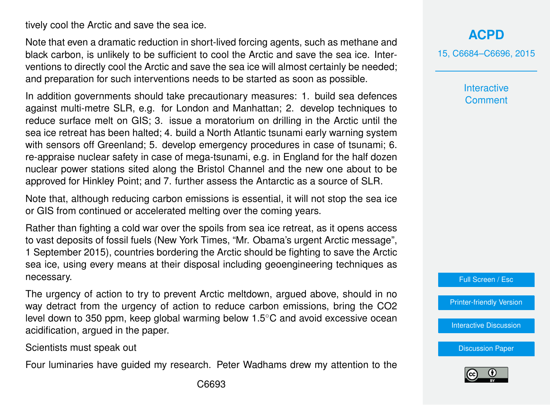tively cool the Arctic and save the sea ice.

Note that even a dramatic reduction in short-lived forcing agents, such as methane and black carbon, is unlikely to be sufficient to cool the Arctic and save the sea ice. Interventions to directly cool the Arctic and save the sea ice will almost certainly be needed; and preparation for such interventions needs to be started as soon as possible.

In addition governments should take precautionary measures: 1. build sea defences against multi-metre SLR, e.g. for London and Manhattan; 2. develop techniques to reduce surface melt on GIS; 3. issue a moratorium on drilling in the Arctic until the sea ice retreat has been halted; 4. build a North Atlantic tsunami early warning system with sensors off Greenland; 5. develop emergency procedures in case of tsunami; 6. re-appraise nuclear safety in case of mega-tsunami, e.g. in England for the half dozen nuclear power stations sited along the Bristol Channel and the new one about to be approved for Hinkley Point; and 7. further assess the Antarctic as a source of SLR.

Note that, although reducing carbon emissions is essential, it will not stop the sea ice or GIS from continued or accelerated melting over the coming years.

Rather than fighting a cold war over the spoils from sea ice retreat, as it opens access to vast deposits of fossil fuels (New York Times, "Mr. Obama's urgent Arctic message", 1 September 2015), countries bordering the Arctic should be fighting to save the Arctic sea ice, using every means at their disposal including geoengineering techniques as necessary.

The urgency of action to try to prevent Arctic meltdown, argued above, should in no way detract from the urgency of action to reduce carbon emissions, bring the CO2 level down to 350 ppm, keep global warming below 1.5◦C and avoid excessive ocean acidification, argued in the paper.

Scientists must speak out

Four luminaries have guided my research. Peter Wadhams drew my attention to the

15, C6684–C6696, 2015

**Interactive Comment** 

Full Screen / Esc

[Printer-friendly Version](http://www.atmos-chem-phys-discuss.net/15/C6684/2015/acpd-15-C6684-2015-print.pdf)

[Interactive Discussion](http://www.atmos-chem-phys-discuss.net/15/20059/2015/acpd-15-20059-2015-discussion.html)

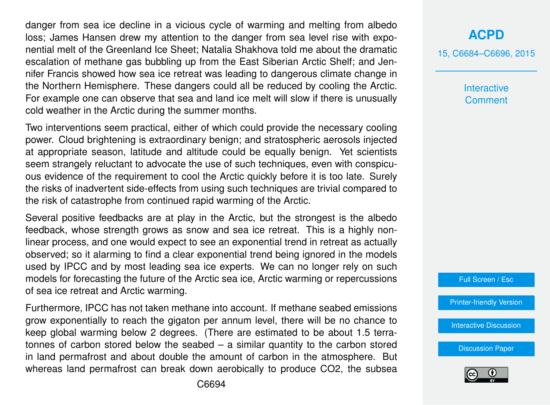danger from sea ice decline in a vicious cycle of warming and melting from albedo loss; James Hansen drew my attention to the danger from sea level rise with exponential melt of the Greenland Ice Sheet; Natalia Shakhova told me about the dramatic escalation of methane gas bubbling up from the East Siberian Arctic Shelf; and Jennifer Francis showed how sea ice retreat was leading to dangerous climate change in the Northern Hemisphere. These dangers could all be reduced by cooling the Arctic. For example one can observe that sea and land ice melt will slow if there is unusually cold weather in the Arctic during the summer months.

Two interventions seem practical, either of which could provide the necessary cooling power. Cloud brightening is extraordinary benign; and stratospheric aerosols injected at appropriate season, latitude and altitude could be equally benign. Yet scientists seem strangely reluctant to advocate the use of such techniques, even with conspicuous evidence of the requirement to cool the Arctic quickly before it is too late. Surely the risks of inadvertent side-effects from using such techniques are trivial compared to the risk of catastrophe from continued rapid warming of the Arctic.

Several positive feedbacks are at play in the Arctic, but the strongest is the albedo feedback, whose strength grows as snow and sea ice retreat. This is a highly nonlinear process, and one would expect to see an exponential trend in retreat as actually observed; so it alarming to find a clear exponential trend being ignored in the models used by IPCC and by most leading sea ice experts. We can no longer rely on such models for forecasting the future of the Arctic sea ice, Arctic warming or repercussions of sea ice retreat and Arctic warming.

Furthermore, IPCC has not taken methane into account. If methane seabed emissions grow exponentially to reach the gigaton per annum level, there will be no chance to keep global warming below 2 degrees. (There are estimated to be about 1.5 terratonnes of carbon stored below the seabed – a similar quantity to the carbon stored in land permafrost and about double the amount of carbon in the atmosphere. But whereas land permafrost can break down aerobically to produce CO2, the subsea

### **[ACPD](http://www.atmos-chem-phys-discuss.net)**

15, C6684–C6696, 2015

**Interactive Comment** 

Full Screen / Esc

[Printer-friendly Version](http://www.atmos-chem-phys-discuss.net/15/C6684/2015/acpd-15-C6684-2015-print.pdf)

[Interactive Discussion](http://www.atmos-chem-phys-discuss.net/15/20059/2015/acpd-15-20059-2015-discussion.html)

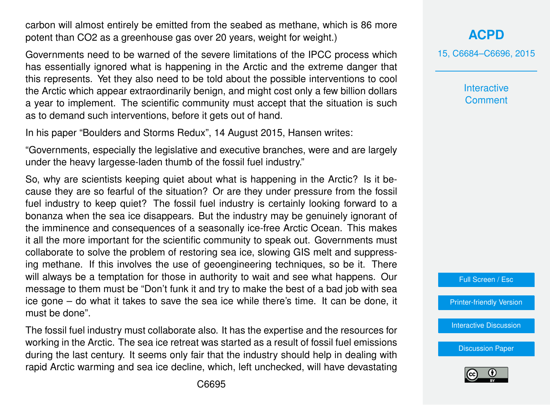carbon will almost entirely be emitted from the seabed as methane, which is 86 more potent than CO2 as a greenhouse gas over 20 years, weight for weight.)

Governments need to be warned of the severe limitations of the IPCC process which has essentially ignored what is happening in the Arctic and the extreme danger that this represents. Yet they also need to be told about the possible interventions to cool the Arctic which appear extraordinarily benign, and might cost only a few billion dollars a year to implement. The scientific community must accept that the situation is such as to demand such interventions, before it gets out of hand.

In his paper "Boulders and Storms Redux", 14 August 2015, Hansen writes:

"Governments, especially the legislative and executive branches, were and are largely under the heavy largesse-laden thumb of the fossil fuel industry."

So, why are scientists keeping quiet about what is happening in the Arctic? Is it because they are so fearful of the situation? Or are they under pressure from the fossil fuel industry to keep quiet? The fossil fuel industry is certainly looking forward to a bonanza when the sea ice disappears. But the industry may be genuinely ignorant of the imminence and consequences of a seasonally ice-free Arctic Ocean. This makes it all the more important for the scientific community to speak out. Governments must collaborate to solve the problem of restoring sea ice, slowing GIS melt and suppressing methane. If this involves the use of geoengineering techniques, so be it. There will always be a temptation for those in authority to wait and see what happens. Our message to them must be "Don't funk it and try to make the best of a bad job with sea ice gone – do what it takes to save the sea ice while there's time. It can be done, it must be done".

The fossil fuel industry must collaborate also. It has the expertise and the resources for working in the Arctic. The sea ice retreat was started as a result of fossil fuel emissions during the last century. It seems only fair that the industry should help in dealing with rapid Arctic warming and sea ice decline, which, left unchecked, will have devastating

# **[ACPD](http://www.atmos-chem-phys-discuss.net)**

15, C6684–C6696, 2015

**Interactive Comment** 



[Printer-friendly Version](http://www.atmos-chem-phys-discuss.net/15/C6684/2015/acpd-15-C6684-2015-print.pdf)

[Interactive Discussion](http://www.atmos-chem-phys-discuss.net/15/20059/2015/acpd-15-20059-2015-discussion.html)